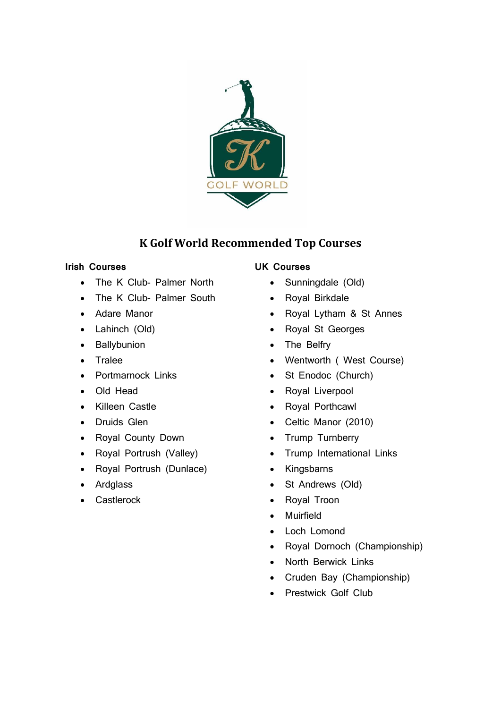

# **K Golf World Recommended Top Courses**

## **Irish Courses**

- The K Club- Palmer North
- The K Club- Palmer South
- Adare Manor
- Lahinch (Old)
- Ballybunion
- Tralee
- Portmarnock Links
- Old Head
- Killeen Castle
- Druids Glen
- Royal County Down
- Royal Portrush (Valley)
- Royal Portrush (Dunlace)
- Ardglass
- **Castlerock**

# **UK Courses**

- Sunningdale (Old)
- Royal Birkdale
- Royal Lytham & St Annes
- Royal St Georges
- The Belfry
- Wentworth ( West Course)
- St Enodoc (Church)
- Royal Liverpool
- Royal Porthcawl
- Celtic Manor (2010)
- Trump Turnberry
- Trump International Links
- Kingsbarns
- St Andrews (Old)
- Royal Troon
- Muirfield
- Loch Lomond
- Royal Dornoch (Championship)
- North Berwick Links
- Cruden Bay (Championship)
- Prestwick Golf Club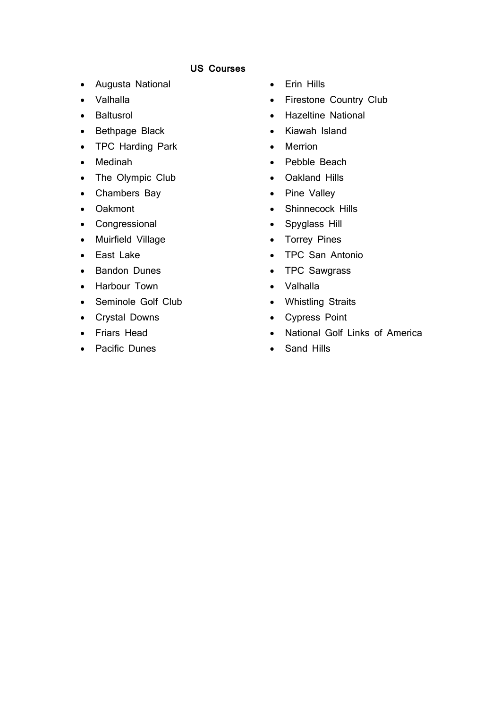### **US Courses**

- Augusta National
- Valhalla
- Baltusrol
- Bethpage Black
- TPC Harding Park
- Medinah
- The Olympic Club
- Chambers Bay
- Oakmont
- Congressional
- Muirfield Village
- East Lake
- Bandon Dunes
- Harbour Town
- Seminole Golf Club
- Crystal Downs
- Friars Head
- Pacific Dunes
- Erin Hills
- Firestone Country Club
- Hazeltine National
- Kiawah Island
- Merrion
- Pebble Beach
- Oakland Hills
- Pine Valley
- Shinnecock Hills
- Spyglass Hill
- Torrey Pines
- TPC San Antonio
- TPC Sawgrass
- Valhalla
- Whistling Straits
- Cypress Point
- National Golf Links of America
- Sand Hills